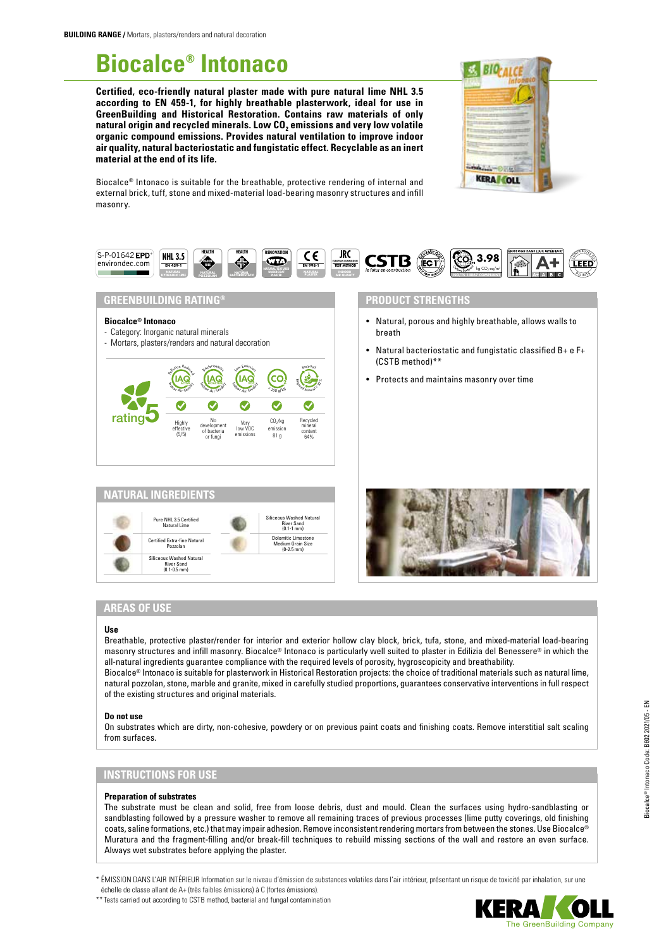# **Biocalce® Intonaco**

**Certified, eco-friendly natural plaster made with pure natural lime NHL 3.5 according to EN 459-1, for highly breathable plasterwork, ideal for use in GreenBuilding and Historical Restoration. Contains raw materials of only**  natural origin and recycled minerals. Low CO<sub>2</sub> emissions and very low volatile **organic compound emissions. Provides natural ventilation to improve indoor air quality, natural bacteriostatic and fungistatic effect. Recyclable as an inert material at the end of its life.**



Biocalce® Intonaco is suitable for the breathable, protective rendering of internal and external brick, tuff, stone and mixed-material load-bearing masonry structures and infill masonry.



# **GREENBUILDING RATING®**

### **Biocalce® Intonaco**

- Category: Inorganic natural minerals
- Mortars, plasters/renders and natural decoration





# **PRODUCT STRENGTHS**

- Natural, porous and highly breathable, allows walls to breath
- Natural bacteriostatic and fungistatic classified B+ e F+ (CSTB method)\*\*
- Protects and maintains masonry over time



# **AREAS OF USE**

### **Use**

Breathable, protective plaster/render for interior and exterior hollow clay block, brick, tufa, stone, and mixed-material load-bearing masonry structures and infill masonry. Biocalce® Intonaco is particularly well suited to plaster in Edilizia del Benessere® in which the all-natural ingredients guarantee compliance with the required levels of porosity, hygroscopicity and breathability. Biocalce® Intonaco is suitable for plasterwork in Historical Restoration projects: the choice of traditional materials such as natural lime, natural pozzolan, stone, marble and granite, mixed in carefully studied proportions, guarantees conservative interventions in full respect of the existing structures and original materials.

### **Do not use**

On substrates which are dirty, non-cohesive, powdery or on previous paint coats and finishing coats. Remove interstitial salt scaling from surfaces.

# **INSTRUCTIONS FOR USE**

### **Preparation of substrates**

The substrate must be clean and solid, free from loose debris, dust and mould. Clean the surfaces using hydro-sandblasting or sandblasting followed by a pressure washer to remove all remaining traces of previous processes (lime putty coverings, old finishing coats, saline formations, etc.) that may impair adhesion. Remove inconsistent rendering mortars from between the stones. Use Biocalce® Muratura and the fragment-filling and/or break-fill techniques to rebuild missing sections of the wall and restore an even surface. Always wet substrates before applying the plaster.

\* ÉMISSION DANS L'AIR INTÉRIEUR Information sur le niveau d'émission de substances volatiles dans l'air intérieur, présentant un risque de toxicité par inhalation, sur une échelle de classe allant de A+ (très faibles émissions) à C (fortes émissions).

\*\* Tests carried out according to CSTB method, bacterial and fungal contamination

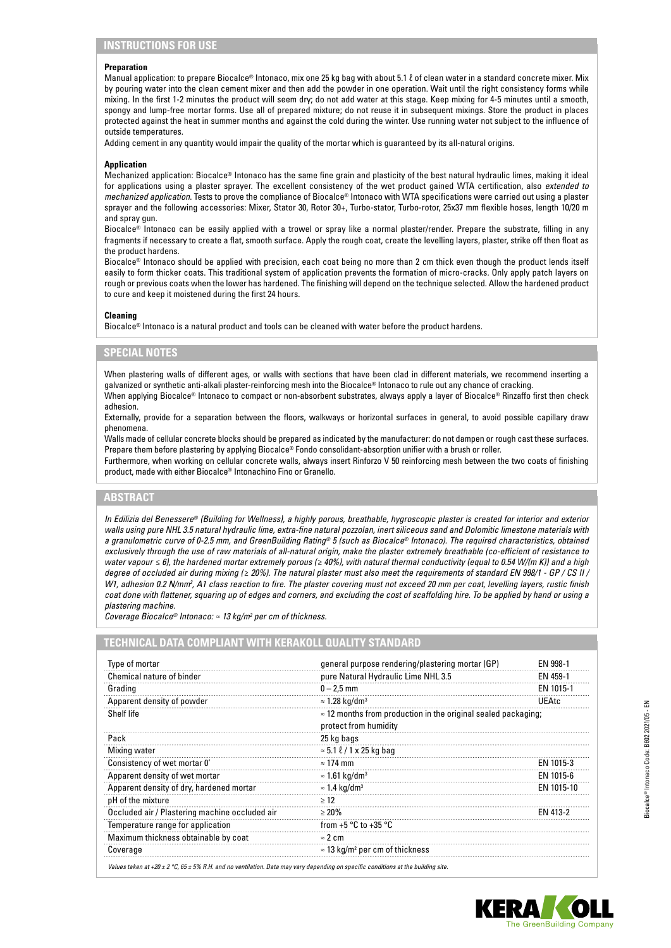## **Preparation**

Manual application: to prepare Biocalce® Intonaco, mix one 25 kg bag with about 5.1 ℓ of clean water in a standard concrete mixer. Mix by pouring water into the clean cement mixer and then add the powder in one operation. Wait until the right consistency forms while mixing. In the first 1-2 minutes the product will seem dry; do not add water at this stage. Keep mixing for 4-5 minutes until a smooth, spongy and lump-free mortar forms. Use all of prepared mixture; do not reuse it in subsequent mixings. Store the product in places protected against the heat in summer months and against the cold during the winter. Use running water not subject to the influence of outside temperatures.

Adding cement in any quantity would impair the quality of the mortar which is guaranteed by its all-natural origins.

### **Application**

Mechanized application: Biocalce® Intonaco has the same fine grain and plasticity of the best natural hydraulic limes, making it ideal for applications using a plaster sprayer. The excellent consistency of the wet product gained WTA certification, also *extended to mechanized application*. Tests to prove the compliance of Biocalce® Intonaco with WTA specifications were carried out using a plaster sprayer and the following accessories: Mixer, Stator 30, Rotor 30+, Turbo-stator, Turbo-rotor, 25x37 mm flexible hoses, length 10/20 m and spray gun.

Biocalce<sup>®</sup> Intonaco can be easily applied with a trowel or spray like a normal plaster/render. Prepare the substrate, filling in any fragments if necessary to create a flat, smooth surface. Apply the rough coat, create the levelling layers, plaster, strike off then float as the product hardens.

Biocalce® Intonaco should be applied with precision, each coat being no more than 2 cm thick even though the product lends itself easily to form thicker coats. This traditional system of application prevents the formation of micro-cracks. Only apply patch layers on rough or previous coats when the lower has hardened. The finishing will depend on the technique selected. Allow the hardened product to cure and keep it moistened during the first 24 hours.

## **Cleaning**

Biocalce® Intonaco is a natural product and tools can be cleaned with water before the product hardens.

## **SPECIAL NOTES**

When plastering walls of different ages, or walls with sections that have been clad in different materials, we recommend inserting a galvanized or synthetic anti-alkali plaster-reinforcing mesh into the Biocalce® Intonaco to rule out any chance of cracking. When applying Biocalce® Intonaco to compact or non-absorbent substrates, always apply a layer of Biocalce® Rinzaffo first then check

adhesion. Externally, provide for a separation between the floors, walkways or horizontal surfaces in general, to avoid possible capillary draw

phenomena. Walls made of cellular concrete blocks should be prepared as indicated by the manufacturer: do not dampen or rough cast these surfaces.

Prepare them before plastering by applying Biocalce® Fondo consolidant-absorption unifier with a brush or roller. Furthermore, when working on cellular concrete walls, always insert Rinforzo V 50 reinforcing mesh between the two coats of finishing

product, made with either Biocalce® Intonachino Fino or Granello.

# **ABSTRACT**

*In Edilizia del Benessere® (Building for Wellness), a highly porous, breathable, hygroscopic plaster is created for interior and exterior walls using pure NHL 3.5 natural hydraulic lime, extra-fine natural pozzolan, inert siliceous sand and Dolomitic limestone materials with a granulometric curve of 0-2.5 mm, and GreenBuilding Rating® 5 (such as Biocalce® Intonaco). The required characteristics, obtained exclusively through the use of raw materials of all-natural origin, make the plaster extremely breathable (co-efficient of resistance to water vapour ≤ 6), the hardened mortar extremely porous (≥ 40%), with natural thermal conductivity (equal to 0.54 W/(m K)) and a high degree of occluded air during mixing (≥ 20%). The natural plaster must also meet the requirements of standard EN 998/1 - GP / CS II /*  W1, adhesion 0.2 N/mm<sup>2</sup>, A1 class reaction to fire. The plaster covering must not exceed 20 mm per coat, levelling layers, rustic finish *coat done with flattener, squaring up of edges and corners, and excluding the cost of scaffolding hire. To be applied by hand or using a plastering machine.* 

*Coverage Biocalce® Intonaco: ≈ 13 kg/m<sup>2</sup> per cm of thickness.* 

## **TECHNICAL DATA COMPLIANT WITH KERAKOLL QUALITY STANDARD**

| Type of mortar                                 | general purpose rendering/plastering mortar (GP)<br><b>FN 998-1</b>   |           |  |
|------------------------------------------------|-----------------------------------------------------------------------|-----------|--|
| Chemical nature of binder                      | pure Natural Hydraulic Lime NHL 3.5                                   | EN 459-1  |  |
| Grading                                        | $0 - 2.5$ mm                                                          | EN 1015-1 |  |
| Apparent density of powder                     | $\approx$ 1.28 kg/dm <sup>3</sup>                                     | UEAtc     |  |
| Shelf life                                     | $\approx$ 12 months from production in the original sealed packaging; |           |  |
|                                                | protect from humidity                                                 |           |  |
| Pack                                           | 25 kg bags                                                            |           |  |
| Mixing water                                   | $\approx$ 5.1 $\ell$ / 1 x 25 kg bag                                  |           |  |
| Consistency of wet mortar 0'                   | $\approx$ 174 mm                                                      | EN 1015-3 |  |
| Apparent density of wet mortar                 | $\approx$ 1.61 kg/dm <sup>3</sup><br>EN 1015-6                        |           |  |
| Apparent density of dry, hardened mortar       | $\approx$ 1.4 kg/dm <sup>3</sup><br>EN 1015-10                        |           |  |
| pH of the mixture                              | >12                                                                   |           |  |
| Occluded air / Plastering machine occluded air | $>20\%$                                                               | FN 413-2  |  |
| Temperature range for application              | from +5 $\degree$ C to +35 $\degree$ C                                |           |  |
| Maximum thickness obtainable by coat           | $\approx$ 2 cm                                                        |           |  |
| Coverage                                       | $\approx$ 13 kg/m <sup>2</sup> per cm of thickness                    |           |  |

*Values taken at +20 ± 2 °C, 65 ± 5% R.H. and no ventilation. Data may vary depending on specific conditions at the building site.*